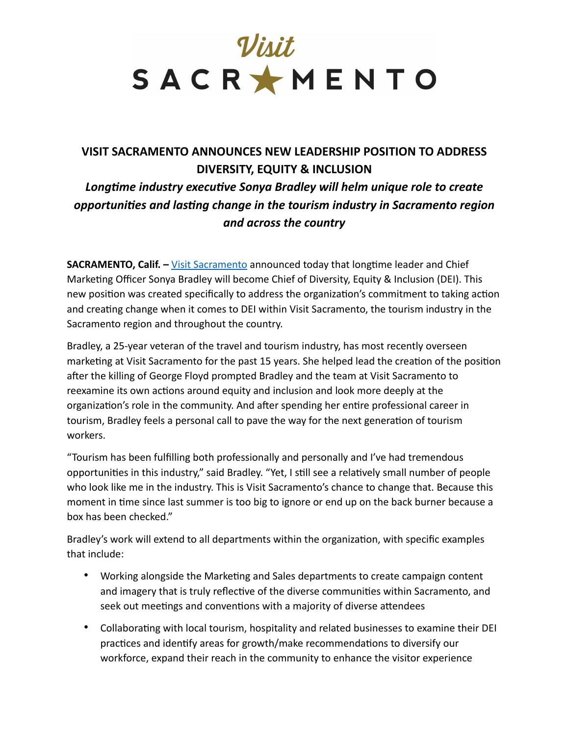

## **VISIT SACRAMENTO ANNOUNCES NEW LEADERSHIP POSITION TO ADDRESS DIVERSITY, EQUITY & INCLUSION**  *Longtime industry executive Sonya Bradley will helm unique role to create opportunities and lasting change in the tourism industry in Sacramento region and across the country*

**SACRAMENTO, Calif. –** [Visit Sacramento](https://www.visitsacramento.com/) announced today that longtime leader and Chief Marketing Officer Sonya Bradley will become Chief of Diversity, Equity & Inclusion (DEI). This new position was created specifically to address the organization's commitment to taking action and creating change when it comes to DEI within Visit Sacramento, the tourism industry in the Sacramento region and throughout the country.

Bradley, a 25-year veteran of the travel and tourism industry, has most recently overseen marketing at Visit Sacramento for the past 15 years. She helped lead the creation of the position after the killing of George Floyd prompted Bradley and the team at Visit Sacramento to reexamine its own actions around equity and inclusion and look more deeply at the organization's role in the community. And after spending her entire professional career in tourism, Bradley feels a personal call to pave the way for the next generation of tourism workers.

"Tourism has been fulfilling both professionally and personally and I've had tremendous opportunities in this industry," said Bradley. "Yet, I still see a relatively small number of people who look like me in the industry. This is Visit Sacramento's chance to change that. Because this moment in time since last summer is too big to ignore or end up on the back burner because a box has been checked."

Bradley's work will extend to all departments within the organization, with specific examples that include:

- Working alongside the Marketing and Sales departments to create campaign content and imagery that is truly reflective of the diverse communities within Sacramento, and seek out meetings and conventions with a majority of diverse attendees
- Collaborating with local tourism, hospitality and related businesses to examine their DEI practices and identify areas for growth/make recommendations to diversify our workforce, expand their reach in the community to enhance the visitor experience